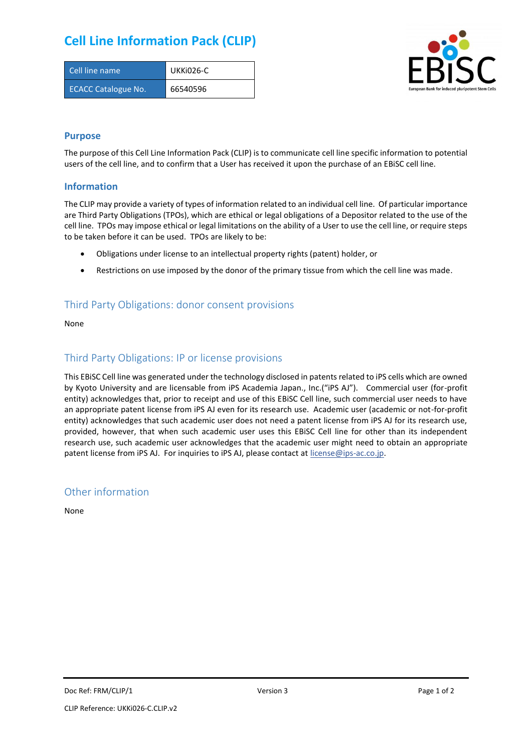# **Cell Line Information Pack (CLIP)**

| Cell line name             | UKKI026-C |
|----------------------------|-----------|
| <b>ECACC Catalogue No.</b> | 66540596  |



#### **Purpose**

The purpose of this Cell Line Information Pack (CLIP) is to communicate cell line specific information to potential users of the cell line, and to confirm that a User has received it upon the purchase of an EBiSC cell line.

#### **Information**

The CLIP may provide a variety of types of information related to an individual cell line. Of particular importance are Third Party Obligations (TPOs), which are ethical or legal obligations of a Depositor related to the use of the cell line. TPOs may impose ethical or legal limitations on the ability of a User to use the cell line, or require steps to be taken before it can be used. TPOs are likely to be:

- Obligations under license to an intellectual property rights (patent) holder, or
- Restrictions on use imposed by the donor of the primary tissue from which the cell line was made.

### Third Party Obligations: donor consent provisions

None

#### Third Party Obligations: IP or license provisions

This EBiSC Cell line was generated under the technology disclosed in patents related to iPS cells which are owned by Kyoto University and are licensable from iPS Academia Japan., Inc.("iPS AJ"). Commercial user (for-profit entity) acknowledges that, prior to receipt and use of this EBiSC Cell line, such commercial user needs to have an appropriate patent license from iPS AJ even for its research use. Academic user (academic or not-for-profit entity) acknowledges that such academic user does not need a patent license from iPS AJ for its research use, provided, however, that when such academic user uses this EBiSC Cell line for other than its independent research use, such academic user acknowledges that the academic user might need to obtain an appropriate patent license from iPS AJ. For inquiries to iPS AJ, please contact at [license@ips-ac.co.jp.](mailto:license@ips-ac.co.jp)

#### Other information

None